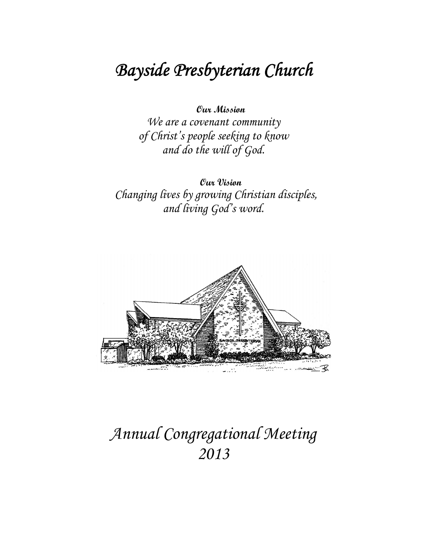# Bayside Presbyterian Church

Our Mission

We are a covenant community of Christ's people seeking to know and do the will of God.

Our Vision Changing lives by growing Christian disciples, and living God's word.



# Annual Congregational Meeting 2013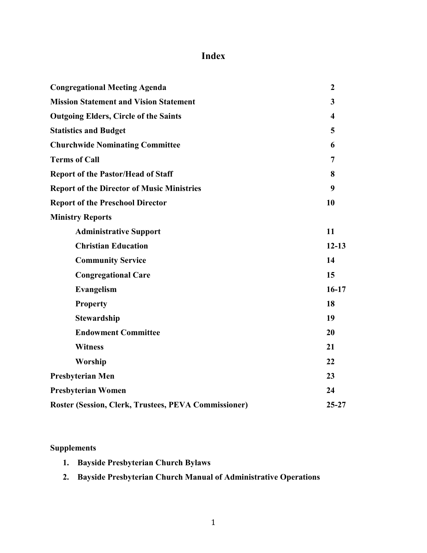## **Index**

| <b>Congregational Meeting Agenda</b>                 | $\boldsymbol{2}$        |
|------------------------------------------------------|-------------------------|
| <b>Mission Statement and Vision Statement</b>        | $\mathbf{3}$            |
| <b>Outgoing Elders, Circle of the Saints</b>         | $\overline{\mathbf{4}}$ |
| <b>Statistics and Budget</b>                         | 5                       |
| <b>Churchwide Nominating Committee</b>               | 6                       |
| <b>Terms of Call</b>                                 | 7                       |
| <b>Report of the Pastor/Head of Staff</b>            | 8                       |
| <b>Report of the Director of Music Ministries</b>    | 9                       |
| <b>Report of the Preschool Director</b>              | 10                      |
| <b>Ministry Reports</b>                              |                         |
| <b>Administrative Support</b>                        | 11                      |
| <b>Christian Education</b>                           | $12 - 13$               |
| <b>Community Service</b>                             | 14                      |
| <b>Congregational Care</b>                           | 15                      |
| Evangelism                                           | $16-17$                 |
| <b>Property</b>                                      | 18                      |
| <b>Stewardship</b>                                   | 19                      |
| <b>Endowment Committee</b>                           | 20                      |
| <b>Witness</b>                                       | 21                      |
| Worship                                              | 22                      |
| <b>Presbyterian Men</b>                              | 23                      |
| <b>Presbyterian Women</b>                            | 24                      |
| Roster (Session, Clerk, Trustees, PEVA Commissioner) | $25 - 27$               |

#### **Supplements**

- 1. Bayside Presbyterian Church Bylaws
- 2. Bayside Presbyterian Church Manual of Administrative Operations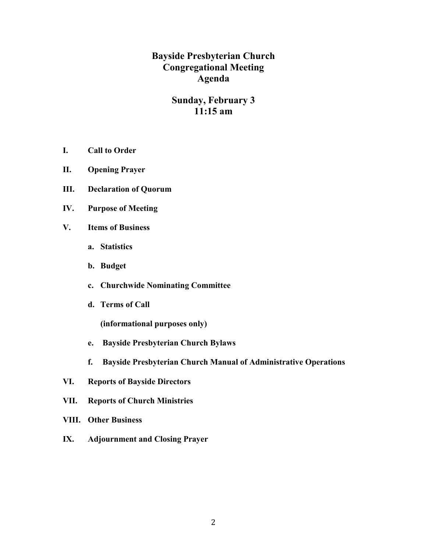**Bayside Presbyterian Church Congregational Meeting Agenda** 

#### **Sunday, February 3**  $11:15$  am

- I. **Call to Order**
- II. **Opening Prayer**
- Ш. **Declaration of Quorum**
- IV. **Purpose of Meeting**
- $V_{\bullet}$ **Items of Business** 
	- a. Statistics
	- b. Budget
	- c. Churchwide Nominating Committee
	- d. Terms of Call

(informational purposes only)

- e. Bayside Presbyterian Church Bylaws
- f. **Bayside Presbyterian Church Manual of Administrative Operations**
- VI. **Reports of Bayside Directors**
- VII. **Reports of Church Ministries**
- **VIII.** Other Business
- $IX.$ **Adjournment and Closing Prayer**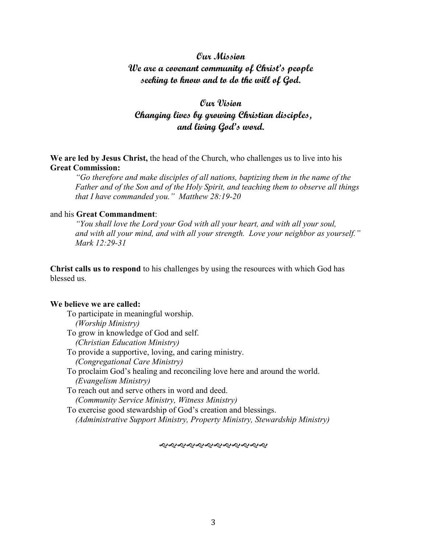#### Our Mission We are a covenant community of Christ's people seeking to know and to do the will of God.

#### Oux Vision Changing lives by growing Christian disciples, and living God's word.

We are led by Jesus Christ, the head of the Church, who challenges us to live into his **Great Commission:** 

"Go therefore and make disciples of all nations, baptizing them in the name of the Father and of the Son and of the Holy Spirit, and teaching them to observe all things that I have commanded you." Matthew 28:19-20

#### and his Great Commandment:

"You shall love the Lord your God with all your heart, and with all your soul, and with all your mind, and with all your strength. Love your neighbor as yourself." Mark 12:29-31

Christ calls us to respond to his challenges by using the resources with which God has blessed us

#### We believe we are called:

To participate in meaningful worship. (Worship Ministry) To grow in knowledge of God and self.

- (Christian Education Ministry)
- To provide a supportive, loving, and caring ministry.
	- (Congregational Care Ministry)
- To proclaim God's healing and reconciling love here and around the world. (Evangelism Ministry)

To reach out and serve others in word and deed. (Community Service Ministry, Witness Ministry)

To exercise good stewardship of God's creation and blessings. (Administrative Support Ministry, Property Ministry, Stewardship Ministry)

*સર્વેશ્વેશ્વરોશ્વેશ્વેશ્વેશ્વરો*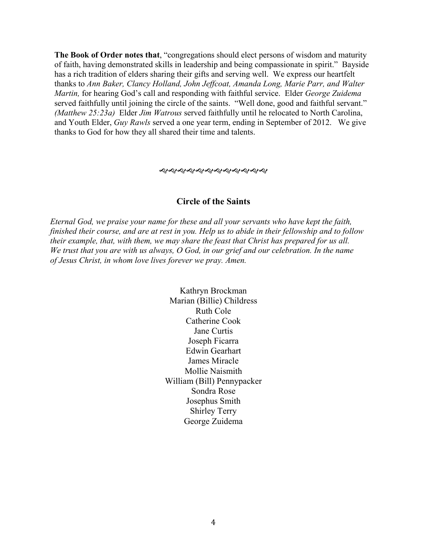The Book of Order notes that, "congregations should elect persons of wisdom and maturity of faith, having demonstrated skills in leadership and being compassionate in spirit." Bayside has a rich tradition of elders sharing their gifts and serving well. We express our heartfelt thanks to Ann Baker, Clancy Holland, John Jeffcoat, Amanda Long, Marie Parr, and Walter Martin, for hearing God's call and responding with faithful service. Elder George Zuidema served faithfully until joining the circle of the saints. "Well done, good and faithful servant." (Matthew 25:23a) Elder Jim Watrous served faithfully until he relocated to North Carolina, and Youth Elder, *Guy Rawls* served a one year term, ending in September of 2012. We give thanks to God for how they all shared their time and talents.

#### **Circle of the Saints**

Eternal God, we praise your name for these and all your servants who have kept the faith, finished their course, and are at rest in you. Help us to abide in their fellowship and to follow their example, that, with them, we may share the feast that Christ has prepared for us all. We trust that you are with us always, O God, in our grief and our celebration. In the name of Jesus Christ, in whom love lives forever we pray. Amen.

> Kathryn Brockman Marian (Billie) Childress **Ruth Cole** Catherine Cook Jane Curtis Joseph Ficarra **Edwin Gearhart** James Miracle Mollie Naismith William (Bill) Pennypacker Sondra Rose Josephus Smith **Shirley Terry** George Zuidema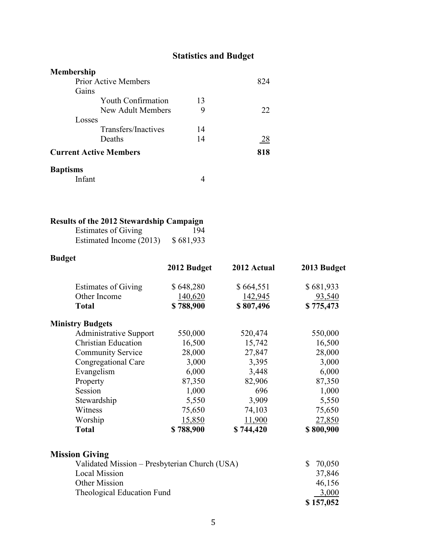## **Statistics and Budget**

| <b>Membership</b>             |    |     |
|-------------------------------|----|-----|
| <b>Prior Active Members</b>   |    | 824 |
| Gains                         |    |     |
| <b>Youth Confirmation</b>     | 13 |     |
| New Adult Members             | 9  | 22  |
| Losses                        |    |     |
| Transfers/Inactives           | 14 |     |
| Deaths                        | 14 | 28  |
| <b>Current Active Members</b> |    | 818 |
| <b>Baptisms</b>               |    |     |
| Infant                        |    |     |

### Results of the 2012 Stewardship Campaign

| <b>Estimates of Giving</b> | 194       |
|----------------------------|-----------|
| Estimated Income (2013)    | \$681,933 |

### **Budget**

|                               | 2012 Budget | 2012 Actual | 2013 Budget |
|-------------------------------|-------------|-------------|-------------|
| <b>Estimates of Giving</b>    | \$648,280   | \$664,551   | \$681,933   |
| Other Income                  | 140,620     | 142,945     | 93,540      |
| <b>Total</b>                  | \$788,900   | \$807,496   | \$775,473   |
| <b>Ministry Budgets</b>       |             |             |             |
| <b>Administrative Support</b> | 550,000     | 520,474     | 550,000     |
| <b>Christian Education</b>    | 16,500      | 15,742      | 16,500      |
| <b>Community Service</b>      | 28,000      | 27,847      | 28,000      |
| Congregational Care           | 3,000       | 3,395       | 3,000       |
| Evangelism                    | 6,000       | 3,448       | 6,000       |
| Property                      | 87,350      | 82,906      | 87,350      |
| Session                       | 1,000       | 696         | 1,000       |
| Stewardship                   | 5,550       | 3,909       | 5,550       |
| Witness                       | 75,650      | 74,103      | 75,650      |
| Worship                       | 15,850      | 11,900      | 27,850      |
| <b>Total</b>                  | \$788,900   | \$744,420   | \$800,900   |

| <b>Mission Giving</b>                         |              |
|-----------------------------------------------|--------------|
| Validated Mission – Presbyterian Church (USA) | 70,050<br>S. |
| <b>Local Mission</b>                          | 37,846       |
| Other Mission                                 | 46,156       |
| Theological Education Fund                    | 3,000        |
|                                               | \$157,052    |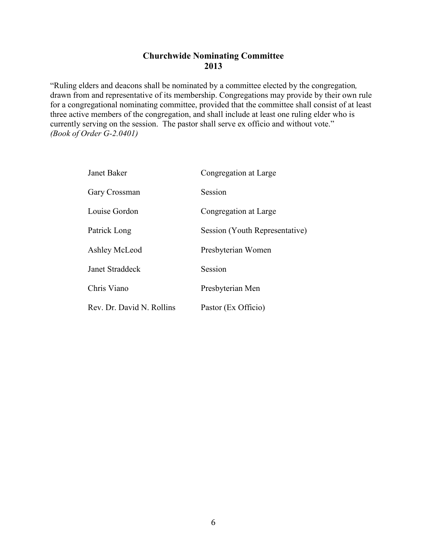#### **Churchwide Nominating Committee** 2013

"Ruling elders and deacons shall be nominated by a committee elected by the congregation, drawn from and representative of its membership. Congregations may provide by their own rule for a congregational nominating committee, provided that the committee shall consist of at least three active members of the congregation, and shall include at least one ruling elder who is currently serving on the session. The pastor shall serve ex officio and without vote."  $(Book of Order G-2.0401)$ 

| Janet Baker               | Congregation at Large          |
|---------------------------|--------------------------------|
| Gary Crossman             | Session                        |
| Louise Gordon             | Congregation at Large          |
| Patrick Long              | Session (Youth Representative) |
| Ashley McLeod             | Presbyterian Women             |
| Janet Straddeck           | Session                        |
| Chris Viano               | Presbyterian Men               |
| Rev. Dr. David N. Rollins | Pastor (Ex Officio)            |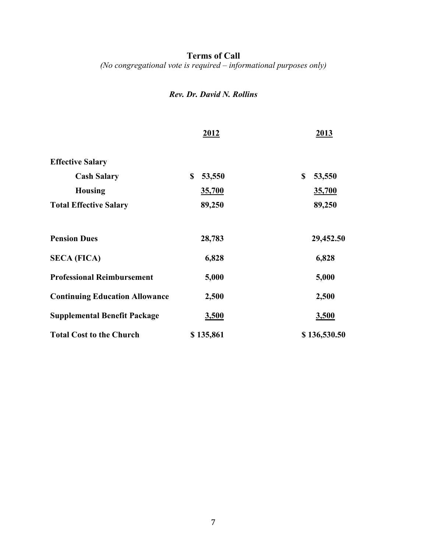**Terms of Call**<br>(*No congregational vote is required – informational purposes only*)

#### Rev. Dr. David N. Rollins

|                                       | 2012         | 2013         |
|---------------------------------------|--------------|--------------|
| <b>Effective Salary</b>               |              |              |
| <b>Cash Salary</b>                    | \$<br>53,550 | \$<br>53,550 |
| <b>Housing</b>                        | 35,700       | 35,700       |
| <b>Total Effective Salary</b>         | 89,250       | 89,250       |
| <b>Pension Dues</b>                   | 28,783       | 29,452.50    |
| <b>SECA (FICA)</b>                    | 6,828        | 6,828        |
| <b>Professional Reimbursement</b>     | 5,000        | 5,000        |
| <b>Continuing Education Allowance</b> | 2,500        | 2,500        |
| <b>Supplemental Benefit Package</b>   | <u>3,500</u> | 3,500        |
| <b>Total Cost to the Church</b>       | \$135,861    | \$136,530.50 |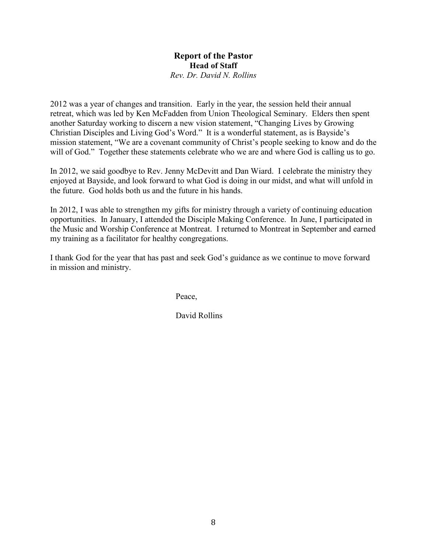#### **Report of the Pastor Head of Staff** Rev. Dr. David N. Rollins

2012 was a year of changes and transition. Early in the year, the session held their annual retreat, which was led by Ken McFadden from Union Theological Seminary. Elders then spent another Saturday working to discern a new vision statement, "Changing Lives by Growing Christian Disciples and Living God's Word." It is a wonderful statement, as is Bavside's mission statement, "We are a covenant community of Christ's people seeking to know and do the will of God." Together these statements celebrate who we are and where God is calling us to go.

In 2012, we said goodbye to Rev. Jenny McDevitt and Dan Wiard. I celebrate the ministry they enjoyed at Bayside, and look forward to what God is doing in our midst, and what will unfold in the future God holds both us and the future in his hands

In 2012, I was able to strengthen my gifts for ministry through a variety of continuing education opportunities. In January, I attended the Disciple Making Conference. In June, I participated in the Music and Worship Conference at Montreat. I returned to Montreat in September and earned my training as a facilitator for healthy congregations.

I thank God for the year that has past and seek God's guidance as we continue to move forward in mission and ministry.

Peace,

David Rollins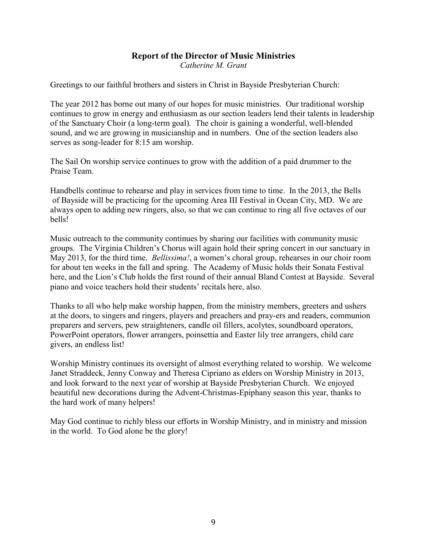# **Report of the Director of Music Ministries**

Catherine M. Grant

Greetings to our faithful brothers and sisters in Christ in Bayside Presbyterian Church:

The year 2012 has borne out many of our hopes for music ministries. Our traditional worship continues to grow in energy and enthusiasm as our section leaders lend their talents in leadership of the Sanctuary Choir (a long-term goal). The choir is gaining a wonderful, well-blended sound, and we are growing in musicianship and in numbers. One of the section leaders also serves as song-leader for 8:15 am worship.

The Sail On worship service continues to grow with the addition of a paid drummer to the Praise Team.

Handbells continue to rehearse and play in services from time to time. In the 2013, the Bells of Bayside will be practicing for the upcoming Area III Festival in Ocean City, MD. We are always open to adding new ringers, also, so that we can continue to ring all five octaves of our bells!

Music outreach to the community continues by sharing our facilities with community music groups. The Virginia Children's Chorus will again hold their spring concert in our sanctuary in May 2013, for the third time. *Bellissima!*, a women's choral group, rehearses in our choir room for about ten weeks in the fall and spring. The Academy of Music holds their Sonata Festival here, and the Lion's Club holds the first round of their annual Bland Contest at Bayside. Several piano and voice teachers hold their students' recitals here, also.

Thanks to all who help make worship happen, from the ministry members, greeters and ushers at the doors, to singers and ringers, players and preachers and pray-ers and readers, communion preparers and servers, pew straighteners, candle oil fillers, acolytes, soundboard operators, PowerPoint operators, flower arrangers, poinsettia and Easter lily tree arrangers, child care givers, an endless list!

Worship Ministry continues its oversight of almost everything related to worship. We welcome Janet Straddeck, Jenny Conway and Theresa Cipriano as elders on Worship Ministry in 2013, and look forward to the next year of worship at Bayside Presbyterian Church. We enjoyed beautiful new decorations during the Advent-Christmas-Epiphany season this year, thanks to the hard work of many helpers!

May God continue to richly bless our efforts in Worship Ministry, and in ministry and mission in the world. To God alone be the glory!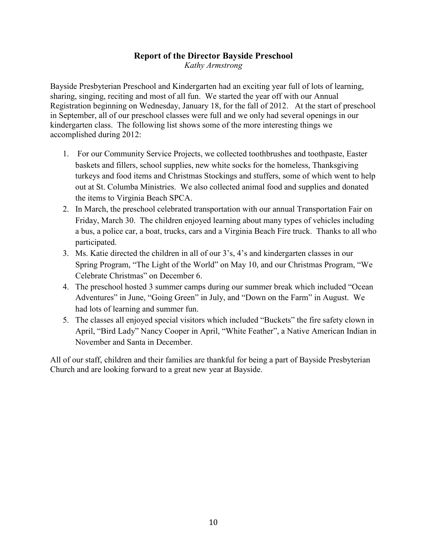# **Report of the Director Bayside Preschool**

Kathy Armstrong

Bayside Presbyterian Preschool and Kindergarten had an exciting year full of lots of learning. sharing, singing, reciting and most of all fun. We started the year off with our Annual Registration beginning on Wednesday, January 18, for the fall of 2012. At the start of preschool in September, all of our preschool classes were full and we only had several openings in our kindergarten class. The following list shows some of the more interesting things we accomplished during 2012:

- 1. For our Community Service Projects, we collected toothbrushes and toothpaste, Easter baskets and fillers, school supplies, new white socks for the homeless, Thanksgiving turkeys and food items and Christmas Stockings and stuffers, some of which went to help out at St. Columba Ministries. We also collected animal food and supplies and donated the items to Virginia Beach SPCA.
- 2. In March, the preschool celebrated transportation with our annual Transportation Fair on Friday, March 30. The children enjoyed learning about many types of vehicles including a bus, a police car, a boat, trucks, cars and a Virginia Beach Fire truck. Thanks to all who participated.
- 3. Ms. Katie directed the children in all of our 3's, 4's and kindergarten classes in our Spring Program, "The Light of the World" on May 10, and our Christmas Program, "We Celebrate Christmas" on December 6.
- 4. The preschool hosted 3 summer camps during our summer break which included "Ocean Adventures" in June, "Going Green" in July, and "Down on the Farm" in August. We had lots of learning and summer fun.
- 5. The classes all enjoyed special visitors which included "Buckets" the fire safety clown in April, "Bird Lady" Nancy Cooper in April, "White Feather", a Native American Indian in November and Santa in December.

All of our staff, children and their families are thankful for being a part of Bayside Presbyterian Church and are looking forward to a great new year at Bayside.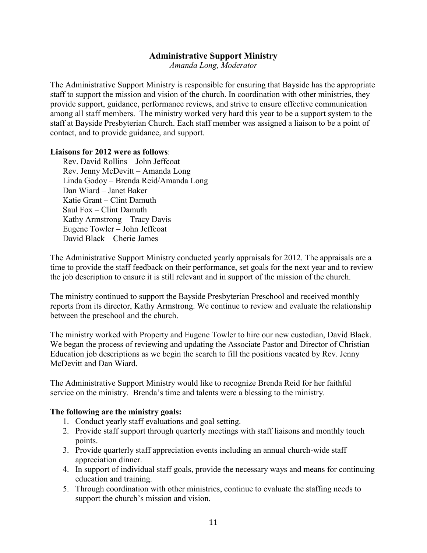#### **Administrative Support Ministry**

Amanda Long, Moderator

The Administrative Support Ministry is responsible for ensuring that Bayside has the appropriate staff to support the mission and vision of the church. In coordination with other ministries, they provide support, guidance, performance reviews, and strive to ensure effective communication among all staff members. The ministry worked very hard this year to be a support system to the staff at Bayside Presbyterian Church. Each staff member was assigned a liaison to be a point of contact, and to provide guidance, and support.

#### Liaisons for 2012 were as follows:

Rev. David Rollins - John Jeffcoat Rev. Jenny McDevitt - Amanda Long Linda Godoy - Brenda Reid/Amanda Long Dan Wiard - Janet Baker Katie Grant – Clint Damuth Saul Fox - Clint Damuth Kathy Armstrong - Tracy Davis Eugene Towler - John Jeffcoat David Black – Cherie James

The Administrative Support Ministry conducted yearly appraisals for 2012. The appraisals are a time to provide the staff feedback on their performance, set goals for the next year and to review the job description to ensure it is still relevant and in support of the mission of the church.

The ministry continued to support the Bayside Presbyterian Preschool and received monthly reports from its director, Kathy Armstrong. We continue to review and evaluate the relationship between the preschool and the church.

The ministry worked with Property and Eugene Towler to hire our new custodian, David Black. We began the process of reviewing and updating the Associate Pastor and Director of Christian Education job descriptions as we begin the search to fill the positions vacated by Rev. Jenny McDevitt and Dan Wiard.

The Administrative Support Ministry would like to recognize Brenda Reid for her faithful service on the ministry. Brenda's time and talents were a blessing to the ministry.

#### The following are the ministry goals:

- 1. Conduct yearly staff evaluations and goal setting.
- 2. Provide staff support through quarterly meetings with staff liaisons and monthly touch points.
- 3. Provide quarterly staff appreciation events including an annual church-wide staff appreciation dinner.
- 4. In support of individual staff goals, provide the necessary ways and means for continuing education and training.
- 5. Through coordination with other ministries, continue to evaluate the staffing needs to support the church's mission and vision.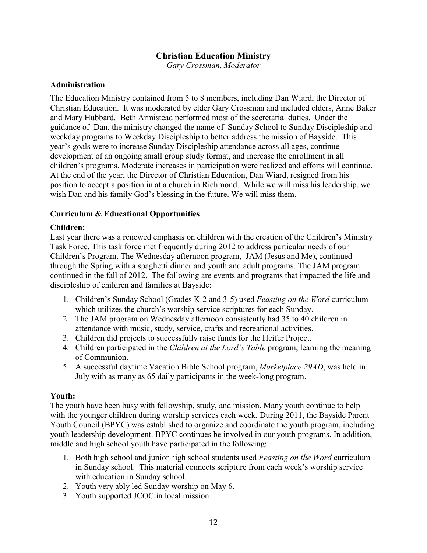#### **Christian Education Ministry**

Gary Crossman, Moderator

#### **Administration**

The Education Ministry contained from 5 to 8 members, including Dan Wiard, the Director of Christian Education. It was moderated by elder Gary Crossman and included elders, Anne Baker and Mary Hubbard. Beth Armistead performed most of the secretarial duties. Under the guidance of Dan, the ministry changed the name of Sunday School to Sunday Discipleship and weekday programs to Weekday Discipleship to better address the mission of Bayside. This year's goals were to increase Sunday Discipleship attendance across all ages, continue development of an ongoing small group study format, and increase the enrollment in all children's programs. Moderate increases in participation were realized and efforts will continue. At the end of the year, the Director of Christian Education, Dan Wiard, resigned from his position to accept a position in at a church in Richmond. While we will miss his leadership, we wish Dan and his family God's blessing in the future. We will miss them.

#### **Curriculum & Educational Opportunities**

#### **Children:**

Last year there was a renewed emphasis on children with the creation of the Children's Ministry Task Force. This task force met frequently during 2012 to address particular needs of our Children's Program. The Wednesday afternoon program, JAM (Jesus and Me), continued through the Spring with a spaghetti dinner and youth and adult programs. The JAM program continued in the fall of 2012. The following are events and programs that impacted the life and discipleship of children and families at Bayside:

- 1. Children's Sunday School (Grades K-2 and 3-5) used Feasting on the Word curriculum which utilizes the church's worship service scriptures for each Sunday.
- 2. The JAM program on Wednesday afternoon consistently had 35 to 40 children in attendance with music, study, service, crafts and recreational activities.
- 3. Children did projects to successfully raise funds for the Heifer Project.
- 4. Children participated in the *Children at the Lord's Table* program, learning the meaning of Communion.
- 5. A successful daytime Vacation Bible School program, *Marketplace 29AD*, was held in July with as many as 65 daily participants in the week-long program.

#### Youth:

The youth have been busy with fellowship, study, and mission. Many youth continue to help with the younger children during worship services each week. During 2011, the Bayside Parent Youth Council (BPYC) was established to organize and coordinate the youth program, including youth leadership development. BPYC continues be involved in our youth programs. In addition, middle and high school youth have participated in the following:

- 1. Both high school and junior high school students used Feasting on the Word curriculum in Sunday school. This material connects scripture from each week's worship service with education in Sunday school.
- 2. Youth very ably led Sunday worship on May 6.
- 3. Youth supported JCOC in local mission.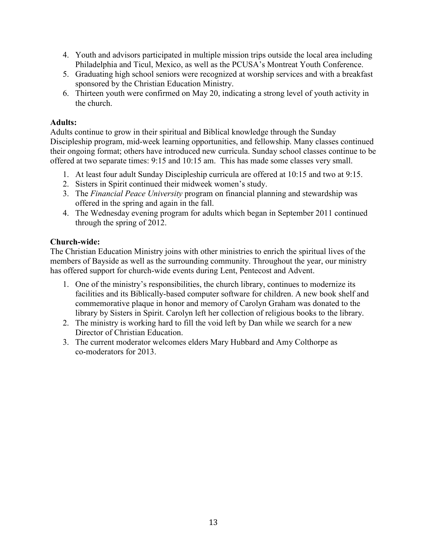- 4. Youth and advisors participated in multiple mission trips outside the local area including Philadelphia and Ticul, Mexico, as well as the PCUSA's Montreat Youth Conference.
- 5. Graduating high school seniors were recognized at worship services and with a breakfast sponsored by the Christian Education Ministry.
- 6. Thirteen youth were confirmed on May 20, indicating a strong level of youth activity in the church

#### **Adults:**

Adults continue to grow in their spiritual and Biblical knowledge through the Sunday Discipleship program, mid-week learning opportunities, and fellowship. Many classes continued their ongoing format; others have introduced new curricula. Sunday school classes continue to be offered at two separate times: 9:15 and 10:15 am. This has made some classes very small.

- 1. At least four adult Sunday Discipleship curricula are offered at 10:15 and two at 9:15.
- 2. Sisters in Spirit continued their midweek women's study.
- 3. The *Financial Peace University* program on financial planning and stewardship was offered in the spring and again in the fall.
- 4. The Wednesday evening program for adults which began in September 2011 continued through the spring of 2012.

#### Church-wide:

The Christian Education Ministry joins with other ministries to enrich the spiritual lives of the members of Bayside as well as the surrounding community. Throughout the year, our ministry has offered support for church-wide events during Lent, Pentecost and Advent.

- 1. One of the ministry's responsibilities, the church library, continues to modernize its facilities and its Biblically-based computer software for children. A new book shelf and commemorative plaque in honor and memory of Carolyn Graham was donated to the library by Sisters in Spirit. Carolyn left her collection of religious books to the library.
- 2. The ministry is working hard to fill the void left by Dan while we search for a new Director of Christian Education.
- 3. The current moderator welcomes elders Mary Hubbard and Amy Colthorpe as co-moderators for 2013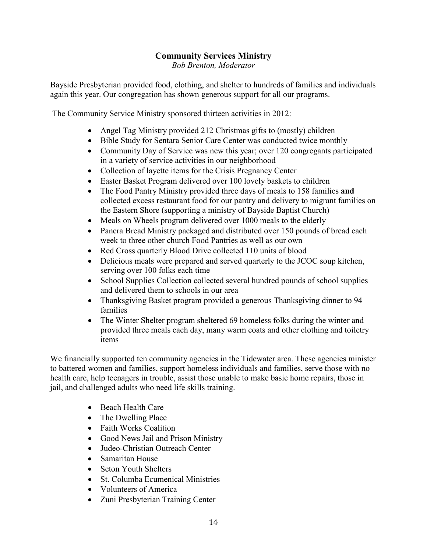#### **Community Services Ministry**

**Bob Brenton, Moderator** 

Bayside Presbyterian provided food, clothing, and shelter to hundreds of families and individuals again this year. Our congregation has shown generous support for all our programs.

The Community Service Ministry sponsored thirteen activities in 2012:

- Angel Tag Ministry provided 212 Christmas gifts to (mostly) children
- Bible Study for Sentara Senior Care Center was conducted twice monthly
- Community Day of Service was new this year, over 120 congregants participated in a variety of service activities in our neighborhood
- Collection of layette items for the Crisis Pregnancy Center
- Easter Basket Program delivered over 100 lovely baskets to children  $\bullet$
- The Food Pantry Ministry provided three days of meals to 158 families and  $\bullet$ collected excess restaurant food for our pantry and delivery to migrant families on the Eastern Shore (supporting a ministry of Bayside Baptist Church)
- Meals on Wheels program delivered over 1000 meals to the elderly  $\bullet$
- Panera Bread Ministry packaged and distributed over 150 pounds of bread each  $\bullet$ week to three other church Food Pantries as well as our own
- Red Cross quarterly Blood Drive collected 110 units of blood  $\bullet$
- Delicious meals were prepared and served quarterly to the JCOC soup kitchen, serving over 100 folks each time
- $\bullet$ School Supplies Collection collected several hundred pounds of school supplies and delivered them to schools in our area
- Thanksgiving Basket program provided a generous Thanksgiving dinner to 94 families
- The Winter Shelter program sheltered 69 homeless folks during the winter and  $\bullet$ provided three meals each day, many warm coats and other clothing and toiletry items

We financially supported ten community agencies in the Tidewater area. These agencies minister to battered women and families, support homeless individuals and families, serve those with no health care, help teenagers in trouble, assist those unable to make basic home repairs, those in jail, and challenged adults who need life skills training.

- Beach Health Care
- The Dwelling Place
- Faith Works Coalition
- Good News Jail and Prison Ministry
- $\bullet$ Judeo-Christian Outreach Center
- $\bullet$ Samaritan House
- $\bullet$ **Seton Youth Shelters**
- St. Columba Ecumenical Ministries  $\bullet$
- Volunteers of America
- Zuni Presbyterian Training Center  $\bullet$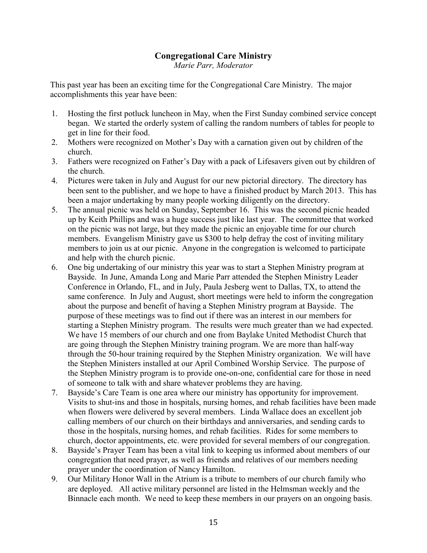#### **Congregational Care Ministry**

*Marie Parr, Moderator* 

This past year has been an exciting time for the Congregational Care Ministry. The major accomplishments this year have been:

- 1. Hosting the first potluck luncheon in May, when the First Sunday combined service concept began. We started the orderly system of calling the random numbers of tables for people to get in line for their food.
- 2. Mothers were recognized on Mother's Day with a carnation given out by children of the church.
- 3. Fathers were recognized on Father's Day with a pack of Lifesavers given out by children of the church.
- 4. Pictures were taken in July and August for our new pictorial directory. The directory has been sent to the publisher, and we hope to have a finished product by M arch 2013. This has been a major undertaking by many people working diligently on the directory.
- 5. The annual picnic was held on Sunday, September 16. This was the second picnic headed up by K eith Phillips and was a huge success just like last year. The committee that worked on the picnic was not large, but they made the picnic an enjoyable time for our church members. Evangelism Ministry gave us \$300 to help defray the cost of inviting military members to join us at our picnic. Anyone in the congregation is welcomed to participate and help with the church picnic.
- 6. One big undertaking of our ministry this year was to start a Stephen Ministry program at Bayside. In June, Amanda Long and Marie Parr attended the Stephen Ministry Leader Conference in Orlando, FL, and in July, Paula Jesberg went to Dallas, TX, to attend the same conference. In July and August, short meetings were held to inform the congregation about the purpose and benefit of having a Stephen Ministry program at Bayside. The purpose of these meetings was to find out if there was an interest in our members for starting a Stephen Ministry program. The results were much greater than we had expected. We have 15 members of our church and one from Baylake United Methodist Church that are going through the Stephen Ministry training program. We are more than half-way through the 50-hour training required by the Stephen Ministry organization. We will have the Stephen Ministers installed at our April Combined Worship Service. The purpose of the Stephen Ministry program is to provide one-on-one, confidential care for those in need of someone to talk with and share whatever problems they are having.
- 7. Bay side's Care Team is one area where our ministry has opportunity for improvement. Visits to shut-ins and those in hospitals, nursing homes, and rehab facilities have been made when flowers were delivered by several members. Linda Wallace does an excellent job calling members of our church on their birthdays and anniversaries, and sending cards to those in the hospitals, nursing homes, and rehab facilities. Rides for some members to church, doctor appointments, etc. were provided for several members of our congregation.
- 8. Bayside's Prayer Team has been a vital link to keeping us informed about members of our congregation that need prayer, as well as friends and relatives of our members needing prayer under the coordination of Nancy Hamilton.
- 9. Our Military Honor Wall in the Atrium is a tribute to members of our church family who are deployed. All active military personnel are listed in the Helmsman weekly and the Binnacle each month. We need to keep these members in our prayers on an ongoing basis.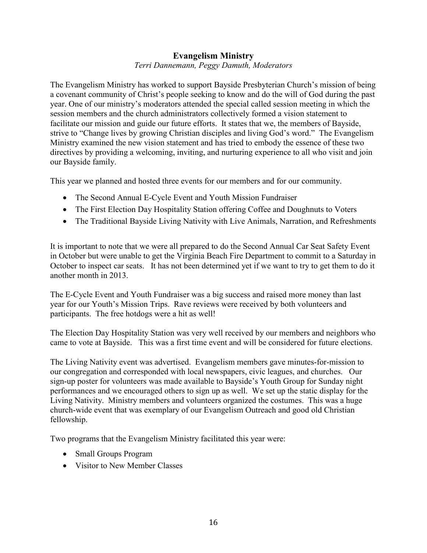#### **Evangelism Ministry**

Terri Dannemann, Peggy Damuth, Moderators

The Evangelism Ministry has worked to support Bayside Presbyterian Church's mission of being a covenant community of Christ's people seeking to know and do the will of God during the past year. One of our ministry's moderators attended the special called session meeting in which the session members and the church administrators collectively formed a vision statement to facilitate our mission and guide our future efforts. It states that we, the members of Bayside, strive to "Change lives by growing Christian disciples and living God's word." The Evangelism Ministry examined the new vision statement and has tried to embody the essence of these two directives by providing a welcoming, inviting, and nurturing experience to all who visit and join our Bayside family.

This year we planned and hosted three events for our members and for our community.

- The Second Annual E-Cycle Event and Youth Mission Fundraiser
- The First Election Day Hospitality Station offering Coffee and Doughnuts to Voters
- The Traditional Bayside Living Nativity with Live Animals, Narration, and Refreshments

It is important to note that we were all prepared to do the Second Annual Car Seat Safety Event in October but were unable to get the Virginia Beach Fire Department to commit to a Saturday in October to inspect car seats. It has not been determined yet if we want to try to get them to do it another month in 2013

The E-Cycle Event and Youth Fundraiser was a big success and raised more money than last year for our Youth's Mission Trips. Rave reviews were received by both volunteers and participants. The free hotdogs were a hit as well!

The Election Day Hospitality Station was very well received by our members and neighbors who came to vote at Bayside. This was a first time event and will be considered for future elections.

The Living Nativity event was advertised. Evangelism members gave minutes-for-mission to our congregation and corresponded with local newspapers, civic leagues, and churches. Our sign-up poster for volunteers was made available to Bayside's Youth Group for Sunday night performances and we encouraged others to sign up as well. We set up the static display for the Living Nativity. Ministry members and volunteers organized the costumes. This was a huge church-wide event that was exemplary of our Evangelism Outreach and good old Christian fellowship.

Two programs that the Evangelism Ministry facilitated this year were:

- Small Groups Program
- Visitor to New Member Classes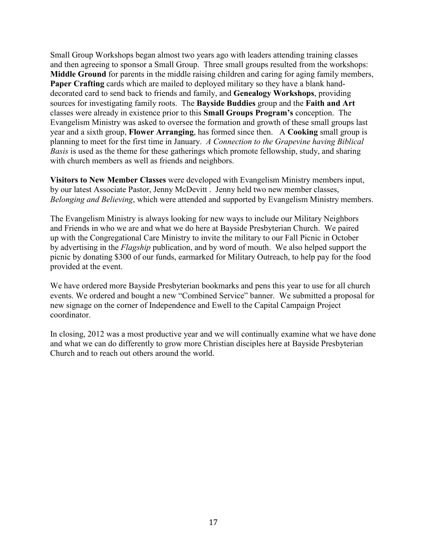Small Group Workshops began almost two years ago with leaders attending training classes and then agreeing to sponsor a Small Group. Three small groups resulted from the workshops: Middle Ground for parents in the middle raising children and caring for aging family members, **Paper Crafting** cards which are mailed to deployed military so they have a blank handdecorated card to send back to friends and family, and Genealogy Workshops, providing sources for investigating family roots. The Bayside Buddies group and the Faith and Art classes were already in existence prior to this **Small Groups Program's** conception. The Evangelism Ministry was asked to oversee the formation and growth of these small groups last year and a sixth group, Flower Arranging, has formed since then. A Cooking small group is planning to meet for the first time in January. A Connection to the Grapevine having Biblical Basis is used as the theme for these gatherings which promote fellowship, study, and sharing with church members as well as friends and neighbors.

Visitors to New Member Classes were developed with Evangelism Ministry members input, by our latest Associate Pastor, Jenny McDevitt . Jenny held two new member classes, Belonging and Believing, which were attended and supported by Evangelism Ministry members.

The Evangelism Ministry is always looking for new ways to include our Military Neighbors and Friends in who we are and what we do here at Bayside Presbyterian Church. We paired up with the Congregational Care Ministry to invite the military to our Fall Picnic in October by advertising in the *Flagship* publication, and by word of mouth. We also helped support the picnic by donating \$300 of our funds, earmarked for Military Outreach, to help pay for the food provided at the event.

We have ordered more Bayside Presbyterian bookmarks and pens this year to use for all church events. We ordered and bought a new "Combined Service" banner. We submitted a proposal for new signage on the corner of Independence and Ewell to the Capital Campaign Project coordinator.

In closing, 2012 was a most productive year and we will continually examine what we have done and what we can do differently to grow more Christian disciples here at Bayside Presbyterian Church and to reach out others around the world.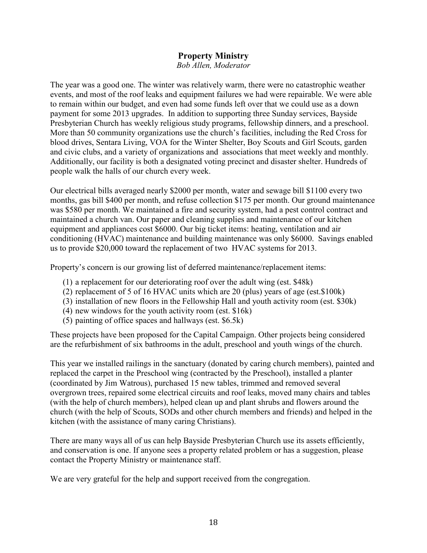# **Property Ministry**

**Bob Allen, Moderator** 

The year was a good one. The winter was relatively warm, there were no catastrophic weather events, and most of the roof leaks and equipment failures we had were repairable. We were able to remain within our budget, and even had some funds left over that we could use as a down payment for some 2013 upgrades. In addition to supporting three Sunday services, Bayside Presbyterian Church has weekly religious study programs, fellowship dinners, and a preschool. More than 50 community organizations use the church's facilities, including the Red Cross for blood drives, Sentara Living, VOA for the Winter Shelter, Boy Scouts and Girl Scouts, garden and civic clubs, and a variety of organizations and associations that meet weekly and monthly. Additionally, our facility is both a designated voting precinct and disaster shelter. Hundreds of people walk the halls of our church every week.

Our electrical bills averaged nearly \$2000 per month, water and sewage bill \$1100 every two months, gas bill \$400 per month, and refuse collection \$175 per month. Our ground maintenance was \$580 per month. We maintained a fire and security system, had a pest control contract and maintained a church van. Our paper and cleaning supplies and maintenance of our kitchen equipment and appliances cost \$6000. Our big ticket items: heating, ventilation and air conditioning (HVAC) maintenance and building maintenance was only \$6000. Savings enabled us to provide \$20,000 toward the replacement of two HVAC systems for 2013.

Property's concern is our growing list of deferred maintenance/replacement items:

- (1) a replacement for our deteriorating roof over the adult wing (est. \$48k)
- (2) replacement of 5 of 16 HVAC units which are 20 (plus) years of age (est.\$100k)
- (3) installation of new floors in the Fellowship Hall and youth activity room (est. \$30k)
- $(4)$  new windows for the youth activity room (est. \$16k)
- $(5)$  painting of office spaces and hallways (est. \$6.5k)

These projects have been proposed for the Capital Campaign. Other projects being considered are the refurbishment of six bathrooms in the adult, preschool and youth wings of the church.

This year we installed railings in the sanctuary (donated by caring church members), painted and replaced the carpet in the Preschool wing (contracted by the Preschool), installed a planter (coordinated by Jim Watrous), purchased 15 new tables, trimmed and removed several overgrown trees, repaired some electrical circuits and roof leaks, moved many chairs and tables (with the help of church members), helped clean up and plant shrubs and flowers around the church (with the help of Scouts, SODs and other church members and friends) and helped in the kitchen (with the assistance of many caring Christians).

There are many ways all of us can help Bayside Presbyterian Church use its assets efficiently, and conservation is one. If anyone sees a property related problem or has a suggestion, please contact the Property Ministry or maintenance staff.

We are very grateful for the help and support received from the congregation.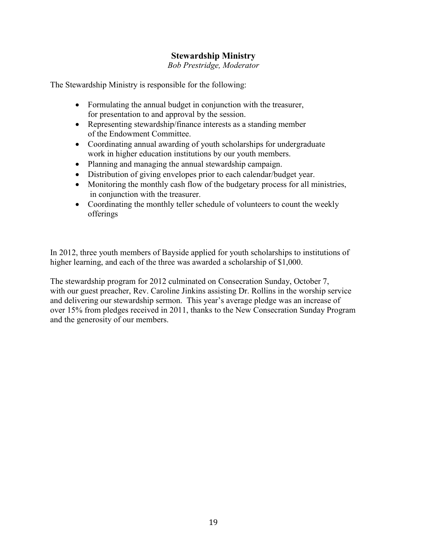#### **Stewardship Ministry**

Bob Prestridge, Moderator

The Stewardship Ministry is responsible for the following:

- Formulating the annual budget in conjunction with the treasurer, for presentation to and approval by the session.
- Representing stewardship/finance interests as a standing member of the Endowment Committee.
- Coordinating annual awarding of youth scholarships for undergraduate work in higher education institutions by our youth members.
- Planning and managing the annual stewardship campaign.
- Distribution of giving envelopes prior to each calendar/budget year.
- Monitoring the monthly cash flow of the budgetary process for all ministries, in conjunction with the treasurer.
- Coordinating the monthly teller schedule of volunteers to count the weekly offerings

In 2012, three youth members of Bayside applied for youth scholarships to institutions of higher learning, and each of the three was awarded a scholarship of \$1,000.

The stewardship program for 2012 culminated on Consecration Sunday, October 7, with our guest preacher, Rev. Caroline Jinkins assisting Dr. Rollins in the worship service and delivering our stewardship sermon. This year's average pledge was an increase of over 15% from pledges received in 2011, thanks to the New Consecration Sunday Program and the generosity of our members.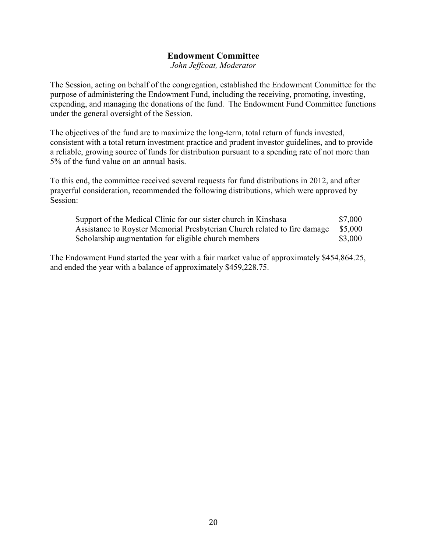#### **Endowment Committee**

John Jeffcoat, Moderator

The Session, acting on behalf of the congregation, established the Endowment Committee for the purpose of administering the Endowment Fund, including the receiving, promoting, investing, expending, and managing the donations of the fund. The Endowment Fund Committee functions under the general oversight of the Session.

The objectives of the fund are to maximize the long-term, total return of funds invested, consistent with a total return investment practice and prudent investor guidelines, and to provide a reliable, growing source of funds for distribution pursuant to a spending rate of not more than 5% of the fund value on an annual basis.

To this end, the committee received several requests for fund distributions in 2012, and after prayerful consideration, recommended the following distributions, which were approved by Session:

| Support of the Medical Clinic for our sister church in Kinshasa           | \$7,000 |
|---------------------------------------------------------------------------|---------|
| Assistance to Royster Memorial Presbyterian Church related to fire damage | \$5,000 |
| Scholarship augmentation for eligible church members                      | \$3,000 |

The Endowment Fund started the year with a fair market value of approximately \$454,864.25, and ended the year with a balance of approximately \$459,228.75.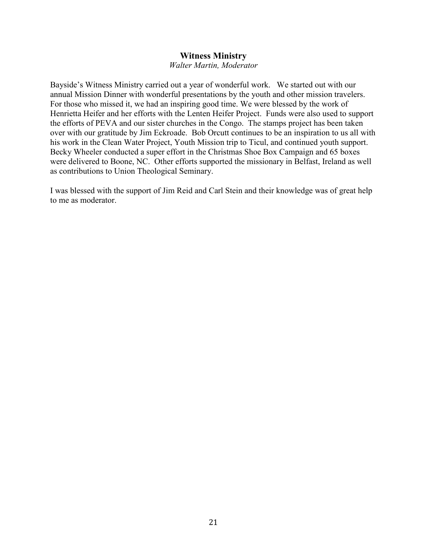#### **Witness Ministry**

 $W$ alter *Martin*, *Moderator* 

Bayside's Witness Ministry carried out a year of wonderful work. We started out with our annual Mission Dinner with wonderful presentations by the youth and other mission travelers. For those who missed it, we had an inspiring good time. We were blessed by the work of Henrietta Heifer and her efforts with the Lenten Heifer Project. Funds were also used to support the efforts of PEVA and our sister churches in the Congo. The stamps project has been taken over with our gratitude by Jim Eckroade. Bob Orcutt continues to be an inspiration to us all with his work in the Clean Water Project, Youth Mission trip to Ticul, and continued youth support. Becky Wheeler conducted a super effort in the Christmas Shoe Box Campaign and 65 boxes were delivered to Boone, NC. Other efforts supported the missionary in Belfast, Ireland as well as contributions to Union Theological Seminary.

I was blessed with the support of Jim Reid and Carl Stein and their knowledge was of great help to me as moderator.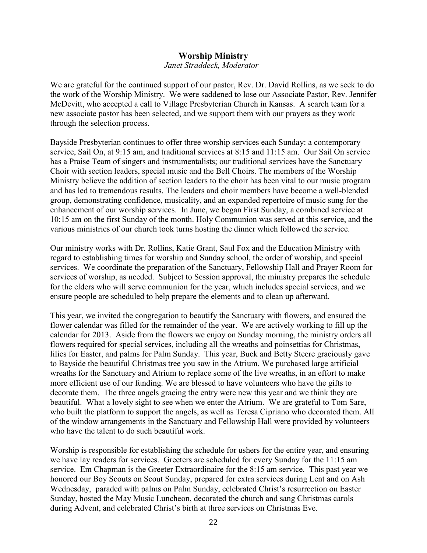#### **Worship Ministry**

#### Janet Straddeck, Moderator

We are grateful for the continued support of our pastor, Rev. Dr. David Rollins, as we seek to do the work of the Worship Ministry. We were saddened to lose our Associate Pastor, Rev. Jennifer McDevitt, who accepted a call to Village Presbyterian Church in Kansas. A search team for a new associate pastor has been selected, and we support them with our prayers as they work through the selection process.

Bayside Presbyterian continues to offer three worship services each Sunday: a contemporary service, Sail On, at 9:15 am, and traditional services at 8:15 and 11:15 am. Our Sail On service has a Praise Team of singers and instrumentalists; our traditional services have the Sanctuary Choir with section leaders, special music and the Bell Choirs. The members of the Worship Ministry believe the addition of section leaders to the choir has been vital to our music program and has led to tremendous results. The leaders and choir members have become a well-blended group, demonstrating confidence, musicality, and an expanded repertoire of music sung for the enhancement of our worship services. In June, we began First Sunday, a combined service at 10:15 am on the first Sunday of the month. Holy Communion was served at this service, and the various ministries of our church took turns hosting the dinner which followed the service.

Our ministry works with Dr. Rollins, Katie Grant, Saul Fox and the Education Ministry with regard to establishing times for worship and Sunday school, the order of worship, and special services. We coordinate the preparation of the Sanctuary, Fellowship Hall and Prayer Room for services of worship, as needed. Subject to Session approval, the ministry prepares the schedule for the elders who will serve communion for the year, which includes special services, and we ensure people are scheduled to help prepare the elements and to clean up afterward.

This year, we invited the congregation to beautify the Sanctuary with flowers, and ensured the flower calendar was filled for the remainder of the year. We are actively working to fill up the calendar for 2013. Aside from the flowers we enjoy on Sunday morning, the ministry orders all flowers required for special services, including all the wreaths and poinsettias for Christmas, lilies for Easter, and palms for Palm Sunday. This year, Buck and Betty Steere graciously gave to Bayside the beautiful Christmas tree you saw in the Atrium. We purchased large artificial wreaths for the Sanctuary and Atrium to replace some of the live wreaths, in an effort to make more efficient use of our funding. We are blessed to have volunteers who have the gifts to decorate them. The three angels gracing the entry were new this year and we think they are beautiful. What a lovely sight to see when we enter the Atrium. We are grateful to Tom Sare, who built the platform to support the angels, as well as Teresa Cipriano who decorated them. All of the window arrangements in the Sanctuary and Fellowship Hall were provided by volunteers who have the talent to do such beautiful work.

Worship is responsible for establishing the schedule for ushers for the entire year, and ensuring we have lay readers for services. Greeters are scheduled for every Sunday for the 11:15 am service. Em Chapman is the Greeter Extraordinaire for the 8:15 am service. This past year we honored our Boy Scouts on Scout Sunday, prepared for extra services during Lent and on Ash Wednesday, paraded with palms on Palm Sunday, celebrated Christ's resurrection on Easter Sunday, hosted the May Music Luncheon, decorated the church and sang Christmas carols during Advent, and celebrated Christ's birth at three services on Christmas Eve.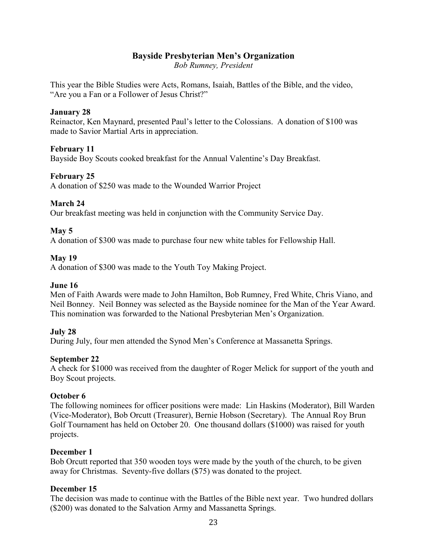#### **Bayside Presbyterian Men's Organization**

**Bob Rumney, President** 

This year the Bible Studies were Acts, Romans, Isaiah, Battles of the Bible, and the video, "Are you a Fan or a Follower of Jesus Christ?"

#### **January 28**

Reinactor, Ken Maynard, presented Paul's letter to the Colossians. A donation of \$100 was made to Savior Martial Arts in appreciation.

#### **February 11**

Bayside Boy Scouts cooked breakfast for the Annual Valentine's Day Breakfast.

#### **February 25**

A donation of \$250 was made to the Wounded Warrior Project

#### March 24

Our breakfast meeting was held in conjunction with the Community Service Day.

#### $\text{Mav} 5$

A donation of \$300 was made to purchase four new white tables for Fellowship Hall.

#### $Mav19$

A donation of \$300 was made to the Youth Toy Making Project.

#### June 16

Men of Faith Awards were made to John Hamilton, Bob Rumney, Fred White, Chris Viano, and Neil Bonney. Neil Bonney was selected as the Bayside nominee for the Man of the Year Award. This nomination was forwarded to the National Presbyterian Men's Organization.

#### July 28

During July, four men attended the Synod Men's Conference at Massanetta Springs.

#### **September 22**

A check for \$1000 was received from the daughter of Roger Melick for support of the youth and Boy Scout projects.

#### October 6

The following nominees for officer positions were made: Lin Haskins (Moderator), Bill Warden (Vice-Moderator), Bob Orcutt (Treasurer), Bernie Hobson (Secretary). The Annual Roy Brun Golf Tournament has held on October 20. One thousand dollars (\$1000) was raised for youth projects.

#### December 1

Bob Orcutt reported that 350 wooden toys were made by the youth of the church, to be given away for Christmas. Seventy-five dollars (\$75) was donated to the project.

#### December 15

The decision was made to continue with the Battles of the Bible next year. Two hundred dollars (\$200) was donated to the Salvation Army and Massanetta Springs.